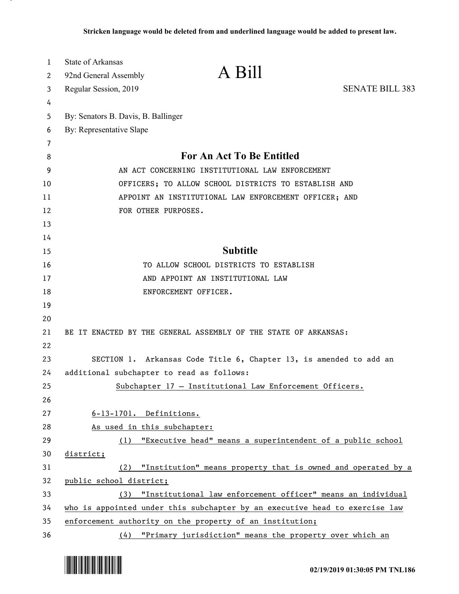| 1  | <b>State of Arkansas</b>            |                                                                             |                        |
|----|-------------------------------------|-----------------------------------------------------------------------------|------------------------|
| 2  | 92nd General Assembly               | A Bill                                                                      |                        |
| 3  | Regular Session, 2019               |                                                                             | <b>SENATE BILL 383</b> |
| 4  |                                     |                                                                             |                        |
| 5  | By: Senators B. Davis, B. Ballinger |                                                                             |                        |
| 6  | By: Representative Slape            |                                                                             |                        |
| 7  |                                     |                                                                             |                        |
| 8  |                                     | For An Act To Be Entitled                                                   |                        |
| 9  |                                     | AN ACT CONCERNING INSTITUTIONAL LAW ENFORCEMENT                             |                        |
| 10 |                                     | OFFICERS; TO ALLOW SCHOOL DISTRICTS TO ESTABLISH AND                        |                        |
| 11 |                                     | APPOINT AN INSTITUTIONAL LAW ENFORCEMENT OFFICER; AND                       |                        |
| 12 |                                     | FOR OTHER PURPOSES.                                                         |                        |
| 13 |                                     |                                                                             |                        |
| 14 |                                     |                                                                             |                        |
| 15 |                                     | <b>Subtitle</b>                                                             |                        |
| 16 |                                     | TO ALLOW SCHOOL DISTRICTS TO ESTABLISH                                      |                        |
| 17 |                                     | AND APPOINT AN INSTITUTIONAL LAW                                            |                        |
| 18 |                                     | ENFORCEMENT OFFICER.                                                        |                        |
| 19 |                                     |                                                                             |                        |
| 20 |                                     |                                                                             |                        |
| 21 |                                     | BE IT ENACTED BY THE GENERAL ASSEMBLY OF THE STATE OF ARKANSAS:             |                        |
| 22 |                                     |                                                                             |                        |
| 23 |                                     | SECTION 1. Arkansas Code Title 6, Chapter 13, is amended to add an          |                        |
| 24 |                                     | additional subchapter to read as follows:                                   |                        |
| 25 |                                     | Subchapter 17 - Institutional Law Enforcement Officers.                     |                        |
| 26 |                                     |                                                                             |                        |
| 27 |                                     | $6-13-1701$ . Definitions.                                                  |                        |
| 28 |                                     | As used in this subchapter:                                                 |                        |
| 29 | (1)                                 | "Executive head" means a superintendent of a public school                  |                        |
| 30 | district;                           |                                                                             |                        |
| 31 | (2)                                 | "Institution" means property that is owned and operated by a                |                        |
| 32 | public school district;             |                                                                             |                        |
| 33 | (3)                                 | "Institutional law enforcement officer" means an individual                 |                        |
| 34 |                                     | who is appointed under this subchapter by an executive head to exercise law |                        |
| 35 |                                     | enforcement authority on the property of an institution;                    |                        |
| 36 |                                     | (4) "Primary jurisdiction" means the property over which an                 |                        |

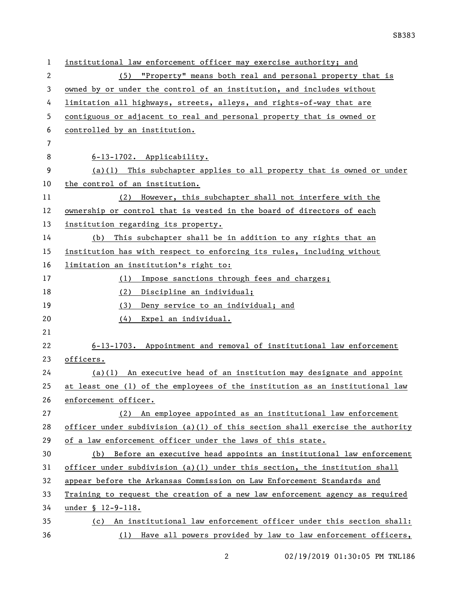| $\mathbf{1}$ | institutional law enforcement officer may exercise authority; and             |
|--------------|-------------------------------------------------------------------------------|
| 2            | (5) "Property" means both real and personal property that is                  |
| 3            | owned by or under the control of an institution, and includes without         |
| 4            | limitation all highways, streets, alleys, and rights-of-way that are          |
| 5            | contiguous or adjacent to real and personal property that is owned or         |
| 6            | controlled by an institution.                                                 |
| 7            |                                                                               |
| 8            | 6-13-1702. Applicability.                                                     |
| 9            | $(a)(1)$ This subchapter applies to all property that is owned or under       |
| 10           | the control of an institution.                                                |
| 11           | (2) However, this subchapter shall not interfere with the                     |
| 12           | ownership or control that is vested in the board of directors of each         |
| 13           | institution regarding its property.                                           |
| 14           | This subchapter shall be in addition to any rights that an<br>(b)             |
| 15           | institution has with respect to enforcing its rules, including without        |
| 16           | limitation an institution's right to:                                         |
| 17           | Impose sanctions through fees and charges;<br>(1)                             |
| 18           | (2) Discipline an individual;                                                 |
| 19           | (3) Deny service to an individual; and                                        |
| 20           | (4) Expel an individual.                                                      |
| 21           |                                                                               |
| 22           | 6-13-1703. Appointment and removal of institutional law enforcement           |
| 23           | officers.                                                                     |
| 24           | $(a)(1)$ An executive head of an institution may designate and appoint        |
| 25           | at least one (1) of the employees of the institution as an institutional law  |
| 26           | enforcement officer.                                                          |
| 27           | An employee appointed as an institutional law enforcement<br>(2)              |
| 28           | officer under subdivision (a)(1) of this section shall exercise the authority |
| 29           | of a law enforcement officer under the laws of this state.                    |
| 30           | (b) Before an executive head appoints an institutional law enforcement        |
| 31           | officer under subdivision (a)(1) under this section, the institution shall    |
| 32           | appear before the Arkansas Commission on Law Enforcement Standards and        |
| 33           | Training to request the creation of a new law enforcement agency as required  |
| 34           | under § 12-9-118.                                                             |
| 35           | (c) An institutional law enforcement officer under this section shall:        |
| 36           | (1) Have all powers provided by law to law enforcement officers,              |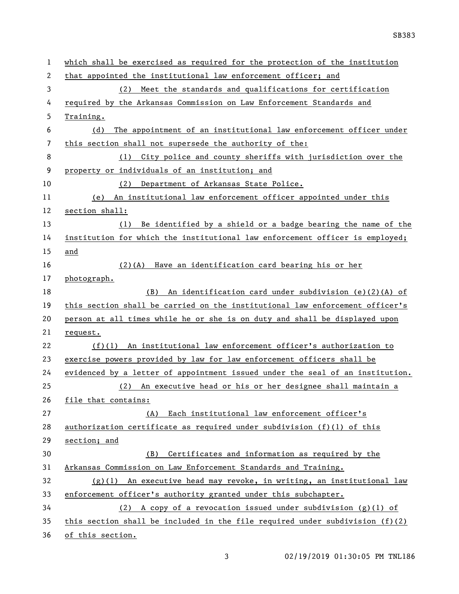| 1  | which shall be exercised as required for the protection of the institution     |
|----|--------------------------------------------------------------------------------|
| 2  | that appointed the institutional law enforcement officer; and                  |
| 3  | Meet the standards and qualifications for certification<br>(2)                 |
| 4  | required by the Arkansas Commission on Law Enforcement Standards and           |
| 5  | Training.                                                                      |
| 6  | The appointment of an institutional law enforcement officer under<br>(d)       |
| 7  | this section shall not supersede the authority of the:                         |
| 8  | City police and county sheriffs with jurisdiction over the<br>(1)              |
| 9  | property or individuals of an institution; and                                 |
| 10 | Department of Arkansas State Police.<br>(2)                                    |
| 11 | An institutional law enforcement officer appointed under this<br>(e)           |
| 12 | section shall:                                                                 |
| 13 | Be identified by a shield or a badge bearing the name of the<br>(1)            |
| 14 | institution for which the institutional law enforcement officer is employed;   |
| 15 | and                                                                            |
| 16 | Have an identification card bearing his or her<br>$(2)$ (A)                    |
| 17 | photograph.                                                                    |
| 18 | An identification card under subdivision (e)(2)(A) of<br>(B)                   |
| 19 | this section shall be carried on the institutional law enforcement officer's   |
| 20 | person at all times while he or she is on duty and shall be displayed upon     |
| 21 | request.                                                                       |
| 22 | $(f)(1)$ An institutional law enforcement officer's authorization to           |
| 23 | exercise powers provided by law for law enforcement officers shall be          |
| 24 | evidenced by a letter of appointment issued under the seal of an institution.  |
| 25 | (2) An executive head or his or her designee shall maintain a                  |
| 26 | file that contains:                                                            |
| 27 | (A) Each institutional law enforcement officer's                               |
| 28 | authorization certificate as required under subdivision (f)(1) of this         |
| 29 | section; and                                                                   |
| 30 | Certificates and information as required by the<br>(B)                         |
| 31 | Arkansas Commission on Law Enforcement Standards and Training.                 |
| 32 | $(g)(1)$ An executive head may revoke, in writing, an institutional law        |
| 33 | enforcement officer's authority granted under this subchapter.                 |
| 34 | (2) A copy of a revocation issued under subdivision $(g)(1)$ of                |
| 35 | this section shall be included in the file required under subdivision $(f)(2)$ |
| 36 | of this section.                                                               |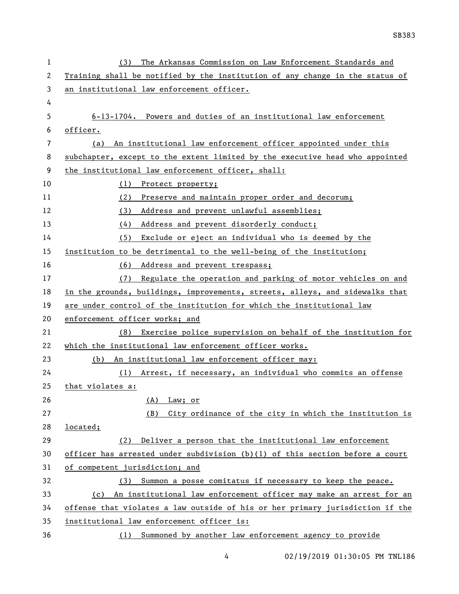| ı  | The Arkansas Commission on Law Enforcement Standards and<br>(3)               |
|----|-------------------------------------------------------------------------------|
| 2  | Training shall be notified by the institution of any change in the status of  |
| 3  | an institutional law enforcement officer.                                     |
| 4  |                                                                               |
| 5  | 6-13-1704. Powers and duties of an institutional law enforcement              |
| 6  | officer.                                                                      |
| 7  | (a) An institutional law enforcement officer appointed under this             |
| 8  | subchapter, except to the extent limited by the executive head who appointed  |
| 9  | the institutional law enforcement officer, shall:                             |
| 10 | (1) Protect property;                                                         |
| 11 | (2)<br>Preserve and maintain proper order and decorum;                        |
| 12 | Address and prevent unlawful assemblies;<br>(3)                               |
| 13 | Address and prevent disorderly conduct;<br>(4)                                |
| 14 | Exclude or eject an individual who is deemed by the<br>(5)                    |
| 15 | institution to be detrimental to the well-being of the institution;           |
| 16 | (6) Address and prevent trespass;                                             |
| 17 | Regulate the operation and parking of motor vehicles on and<br>(7)            |
| 18 | in the grounds, buildings, improvements, streets, alleys, and sidewalks that  |
| 19 | are under control of the institution for which the institutional law          |
| 20 | enforcement officer works; and                                                |
| 21 | (8) Exercise police supervision on behalf of the institution for              |
| 22 | which the institutional law enforcement officer works.                        |
| 23 | (b) An institutional law enforcement officer may:                             |
| 24 | (1) Arrest, if necessary, an individual who commits an offense                |
| 25 | that violates a:                                                              |
| 26 | Law; or<br>(A)                                                                |
| 27 | City ordinance of the city in which the institution is<br>(B)                 |
| 28 | located;                                                                      |
| 29 | Deliver a person that the institutional law enforcement<br>(2)                |
| 30 | officer has arrested under subdivision (b)(l) of this section before a court  |
| 31 | of competent jurisdiction; and                                                |
| 32 | (3) Summon a posse comitatus if necessary to keep the peace.                  |
| 33 | (c) An institutional law enforcement officer may make an arrest for an        |
| 34 | offense that violates a law outside of his or her primary jurisdiction if the |
| 35 | institutional law enforcement officer is:                                     |
| 36 | (1) Summoned by another law enforcement agency to provide                     |

4 02/19/2019 01:30:05 PM TNL186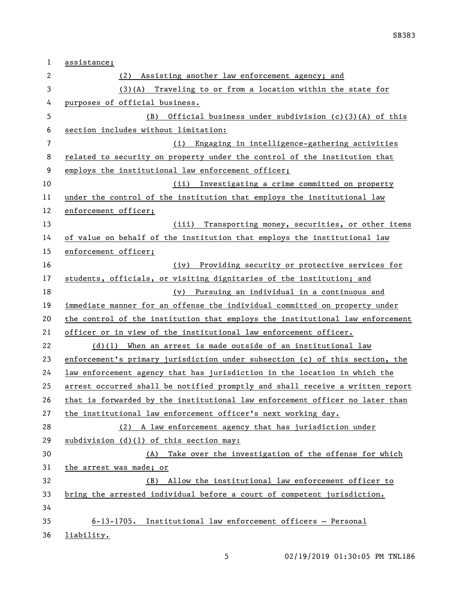| 1              | assistance;                                                                   |
|----------------|-------------------------------------------------------------------------------|
| 2              | (2) Assisting another law enforcement agency; and                             |
| 3              | $(3)(A)$ Traveling to or from a location within the state for                 |
| 4              | purposes of official business.                                                |
| 5              | Official business under subdivision (c)(3)(A) of this<br>(B)                  |
| 6              | section includes without limitation:                                          |
| $\overline{7}$ | (i) Engaging in intelligence-gathering activities                             |
| 8              | related to security on property under the control of the institution that     |
| 9              | employs the institutional law enforcement officer;                            |
| 10             | (ii) Investigating a crime committed on property                              |
| 11             | under the control of the institution that employs the institutional law       |
| 12             | enforcement officer;                                                          |
| 13             | (iii) Transporting money, securities, or other items                          |
| 14             | of value on behalf of the institution that employs the institutional law      |
| 15             | enforcement officer;                                                          |
| 16             | (iv) Providing security or protective services for                            |
| 17             | students, officials, or visiting dignitaries of the institution; and          |
| 18             | (v) Pursuing an individual in a continuous and                                |
| 19             | immediate manner for an offense the individual committed on property under    |
| 20             | the control of the institution that employs the institutional law enforcement |
| 21             | officer or in view of the institutional law enforcement officer.              |
| 22             | $(d)(1)$ When an arrest is made outside of an institutional law               |
| 23             | enforcement's primary jurisdiction under subsection (c) of this section, the  |
| 24             | law enforcement agency that has jurisdiction in the location in which the     |
| 25             | arrest occurred shall be notified promptly and shall receive a written report |
| 26             | that is forwarded by the institutional law enforcement officer no later than  |
| 27             | the institutional law enforcement officer's next working day.                 |
| 28             | (2) A law enforcement agency that has jurisdiction under                      |
| 29             | subdivision $(d)(1)$ of this section may:                                     |
| 30             | (A) Take over the investigation of the offense for which                      |
| 31             | the arrest was made; or                                                       |
| 32             | Allow the institutional law enforcement officer to<br>(B)                     |
| 33             | bring the arrested individual before a court of competent jurisdiction.       |
| 34             |                                                                               |
| 35             | $6-13-1705$ . Institutional law enforcement officers - Personal               |
| 36             | liability.                                                                    |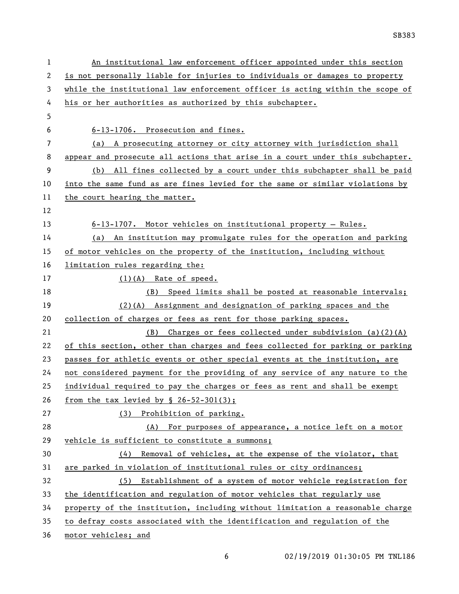| 1  | An institutional law enforcement officer appointed under this section         |
|----|-------------------------------------------------------------------------------|
| 2  | is not personally liable for injuries to individuals or damages to property   |
| 3  | while the institutional law enforcement officer is acting within the scope of |
| 4  | his or her authorities as authorized by this subchapter.                      |
| 5  |                                                                               |
| 6  | 6-13-1706. Prosecution and fines.                                             |
| 7  | (a) A prosecuting attorney or city attorney with jurisdiction shall           |
| 8  | appear and prosecute all actions that arise in a court under this subchapter. |
| 9  | (b) All fines collected by a court under this subchapter shall be paid        |
| 10 | into the same fund as are fines levied for the same or similar violations by  |
| 11 | the court hearing the matter.                                                 |
| 12 |                                                                               |
| 13 | $6-13-1707$ . Motor vehicles on institutional property - Rules.               |
| 14 | (a) An institution may promulgate rules for the operation and parking         |
| 15 | of motor vehicles on the property of the institution, including without       |
| 16 | limitation rules regarding the:                                               |
| 17 | $(1)(A)$ Rate of speed.                                                       |
| 18 | (B) Speed limits shall be posted at reasonable intervals;                     |
| 19 | $(2)$ (A) Assignment and designation of parking spaces and the                |
| 20 | collection of charges or fees as rent for those parking spaces.               |
| 21 | Charges or fees collected under subdivision $(a)(2)(A)$<br>(B)                |
| 22 | of this section, other than charges and fees collected for parking or parking |
| 23 | passes for athletic events or other special events at the institution, are    |
| 24 | not considered payment for the providing of any service of any nature to the  |
| 25 | individual required to pay the charges or fees as rent and shall be exempt    |
| 26 | from the tax levied by $\S$ 26-52-301(3);                                     |
| 27 | (3) Prohibition of parking.                                                   |
| 28 | (A) For purposes of appearance, a notice left on a motor                      |
| 29 | vehicle is sufficient to constitute a summons;                                |
| 30 | (4) Removal of vehicles, at the expense of the violator, that                 |
| 31 | are parked in violation of institutional rules or city ordinances;            |
| 32 | (5) Establishment of a system of motor vehicle registration for               |
| 33 | the identification and regulation of motor vehicles that regularly use        |
| 34 | property of the institution, including without limitation a reasonable charge |
| 35 | to defray costs associated with the identification and regulation of the      |
| 36 | motor vehicles; and                                                           |